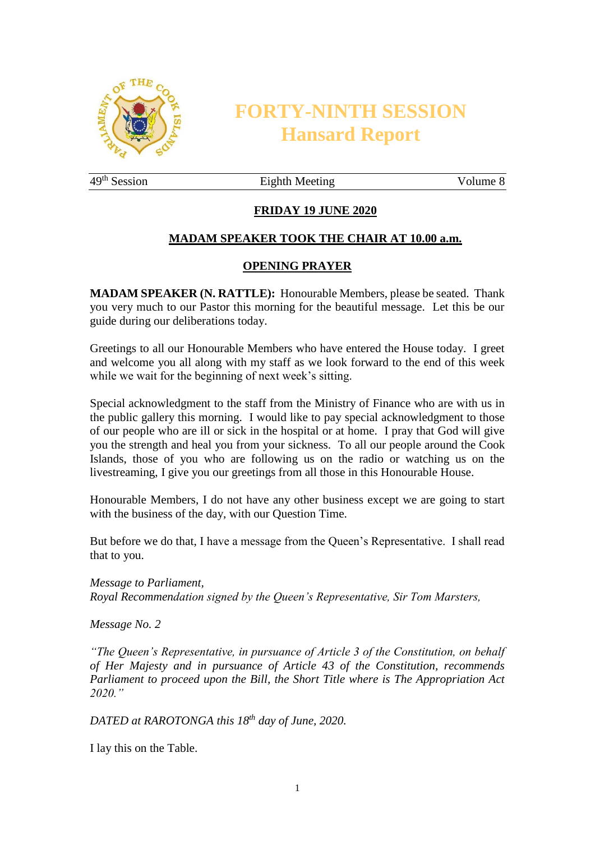

# **FORTY-NINTH SESSION Hansard Report**

49<sup>th</sup> Session Eighth Meeting Volume 8

# **FRIDAY 19 JUNE 2020**

#### **MADAM SPEAKER TOOK THE CHAIR AT 10.00 a.m.**

#### **OPENING PRAYER**

**MADAM SPEAKER (N. RATTLE):** Honourable Members, please be seated. Thank you very much to our Pastor this morning for the beautiful message. Let this be our guide during our deliberations today.

Greetings to all our Honourable Members who have entered the House today. I greet and welcome you all along with my staff as we look forward to the end of this week while we wait for the beginning of next week's sitting.

Special acknowledgment to the staff from the Ministry of Finance who are with us in the public gallery this morning. I would like to pay special acknowledgment to those of our people who are ill or sick in the hospital or at home. I pray that God will give you the strength and heal you from your sickness. To all our people around the Cook Islands, those of you who are following us on the radio or watching us on the livestreaming, I give you our greetings from all those in this Honourable House.

Honourable Members, I do not have any other business except we are going to start with the business of the day, with our Question Time.

But before we do that, I have a message from the Queen's Representative. I shall read that to you.

*Message to Parliament, Royal Recommendation signed by the Queen's Representative, Sir Tom Marsters,*

*Message No. 2*

*"The Queen's Representative, in pursuance of Article 3 of the Constitution, on behalf of Her Majesty and in pursuance of Article 43 of the Constitution, recommends Parliament to proceed upon the Bill, the Short Title where is The Appropriation Act 2020."*

*DATED at RAROTONGA this 18th day of June, 2020.*

I lay this on the Table.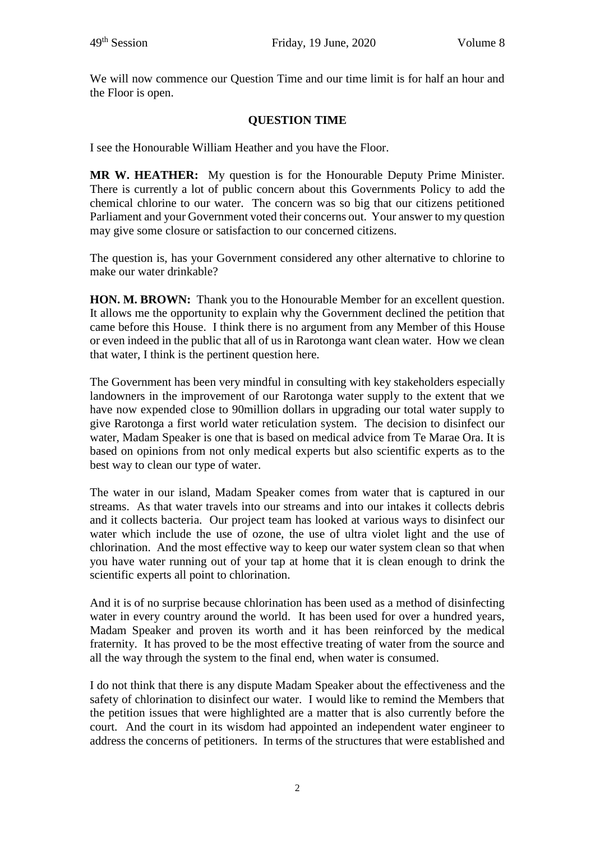We will now commence our Question Time and our time limit is for half an hour and the Floor is open.

## **QUESTION TIME**

I see the Honourable William Heather and you have the Floor.

**MR W. HEATHER:** My question is for the Honourable Deputy Prime Minister. There is currently a lot of public concern about this Governments Policy to add the chemical chlorine to our water. The concern was so big that our citizens petitioned Parliament and your Government voted their concerns out. Your answer to my question may give some closure or satisfaction to our concerned citizens.

The question is, has your Government considered any other alternative to chlorine to make our water drinkable?

**HON. M. BROWN:** Thank you to the Honourable Member for an excellent question. It allows me the opportunity to explain why the Government declined the petition that came before this House. I think there is no argument from any Member of this House or even indeed in the public that all of us in Rarotonga want clean water. How we clean that water, I think is the pertinent question here.

The Government has been very mindful in consulting with key stakeholders especially landowners in the improvement of our Rarotonga water supply to the extent that we have now expended close to 90million dollars in upgrading our total water supply to give Rarotonga a first world water reticulation system. The decision to disinfect our water, Madam Speaker is one that is based on medical advice from Te Marae Ora. It is based on opinions from not only medical experts but also scientific experts as to the best way to clean our type of water.

The water in our island, Madam Speaker comes from water that is captured in our streams. As that water travels into our streams and into our intakes it collects debris and it collects bacteria. Our project team has looked at various ways to disinfect our water which include the use of ozone, the use of ultra violet light and the use of chlorination. And the most effective way to keep our water system clean so that when you have water running out of your tap at home that it is clean enough to drink the scientific experts all point to chlorination.

And it is of no surprise because chlorination has been used as a method of disinfecting water in every country around the world. It has been used for over a hundred years, Madam Speaker and proven its worth and it has been reinforced by the medical fraternity. It has proved to be the most effective treating of water from the source and all the way through the system to the final end, when water is consumed.

I do not think that there is any dispute Madam Speaker about the effectiveness and the safety of chlorination to disinfect our water. I would like to remind the Members that the petition issues that were highlighted are a matter that is also currently before the court. And the court in its wisdom had appointed an independent water engineer to address the concerns of petitioners. In terms of the structures that were established and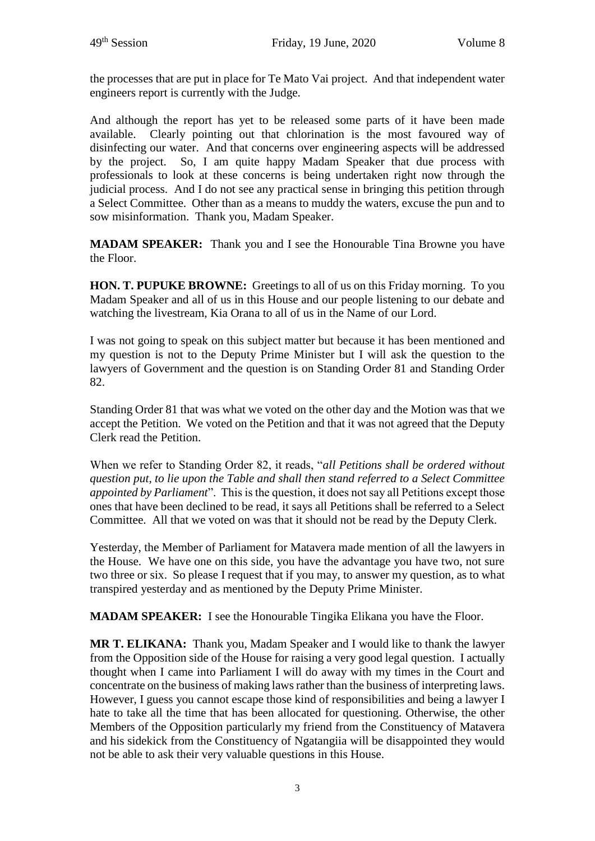the processes that are put in place for Te Mato Vai project. And that independent water engineers report is currently with the Judge.

And although the report has yet to be released some parts of it have been made available. Clearly pointing out that chlorination is the most favoured way of disinfecting our water. And that concerns over engineering aspects will be addressed by the project. So, I am quite happy Madam Speaker that due process with professionals to look at these concerns is being undertaken right now through the judicial process. And I do not see any practical sense in bringing this petition through a Select Committee. Other than as a means to muddy the waters, excuse the pun and to sow misinformation. Thank you, Madam Speaker.

**MADAM SPEAKER:** Thank you and I see the Honourable Tina Browne you have the Floor.

**HON. T. PUPUKE BROWNE:** Greetings to all of us on this Friday morning. To you Madam Speaker and all of us in this House and our people listening to our debate and watching the livestream, Kia Orana to all of us in the Name of our Lord.

I was not going to speak on this subject matter but because it has been mentioned and my question is not to the Deputy Prime Minister but I will ask the question to the lawyers of Government and the question is on Standing Order 81 and Standing Order 82.

Standing Order 81 that was what we voted on the other day and the Motion was that we accept the Petition. We voted on the Petition and that it was not agreed that the Deputy Clerk read the Petition.

When we refer to Standing Order 82, it reads, "*all Petitions shall be ordered without question put, to lie upon the Table and shall then stand referred to a Select Committee appointed by Parliament*". This is the question, it does not say all Petitions except those ones that have been declined to be read, it says all Petitions shall be referred to a Select Committee. All that we voted on was that it should not be read by the Deputy Clerk.

Yesterday, the Member of Parliament for Matavera made mention of all the lawyers in the House. We have one on this side, you have the advantage you have two, not sure two three or six. So please I request that if you may, to answer my question, as to what transpired yesterday and as mentioned by the Deputy Prime Minister.

**MADAM SPEAKER:** I see the Honourable Tingika Elikana you have the Floor.

**MR T. ELIKANA:** Thank you, Madam Speaker and I would like to thank the lawyer from the Opposition side of the House for raising a very good legal question. I actually thought when I came into Parliament I will do away with my times in the Court and concentrate on the business of making laws rather than the business of interpreting laws. However, I guess you cannot escape those kind of responsibilities and being a lawyer I hate to take all the time that has been allocated for questioning. Otherwise, the other Members of the Opposition particularly my friend from the Constituency of Matavera and his sidekick from the Constituency of Ngatangiia will be disappointed they would not be able to ask their very valuable questions in this House.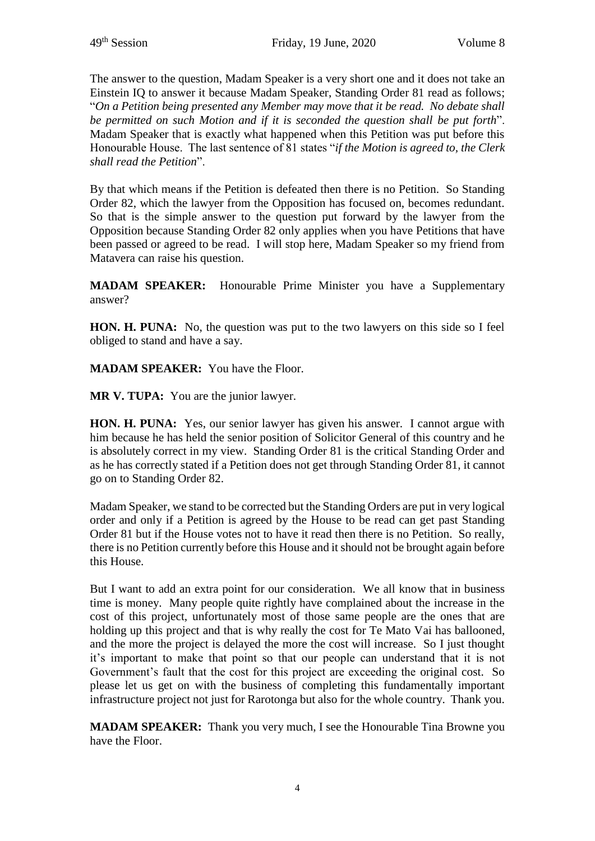The answer to the question, Madam Speaker is a very short one and it does not take an Einstein IQ to answer it because Madam Speaker, Standing Order 81 read as follows; "*On a Petition being presented any Member may move that it be read. No debate shall be permitted on such Motion and if it is seconded the question shall be put forth*". Madam Speaker that is exactly what happened when this Petition was put before this Honourable House. The last sentence of 81 states "*if the Motion is agreed to, the Clerk shall read the Petition*".

By that which means if the Petition is defeated then there is no Petition. So Standing Order 82, which the lawyer from the Opposition has focused on, becomes redundant. So that is the simple answer to the question put forward by the lawyer from the Opposition because Standing Order 82 only applies when you have Petitions that have been passed or agreed to be read. I will stop here, Madam Speaker so my friend from Matavera can raise his question.

**MADAM SPEAKER:** Honourable Prime Minister you have a Supplementary answer?

**HON. H. PUNA:** No, the question was put to the two lawyers on this side so I feel obliged to stand and have a say.

**MADAM SPEAKER:** You have the Floor.

**MR V. TUPA:** You are the junior lawyer.

**HON. H. PUNA:** Yes, our senior lawyer has given his answer. I cannot argue with him because he has held the senior position of Solicitor General of this country and he is absolutely correct in my view. Standing Order 81 is the critical Standing Order and as he has correctly stated if a Petition does not get through Standing Order 81, it cannot go on to Standing Order 82.

Madam Speaker, we stand to be corrected but the Standing Orders are put in very logical order and only if a Petition is agreed by the House to be read can get past Standing Order 81 but if the House votes not to have it read then there is no Petition. So really, there is no Petition currently before this House and it should not be brought again before this House.

But I want to add an extra point for our consideration. We all know that in business time is money. Many people quite rightly have complained about the increase in the cost of this project, unfortunately most of those same people are the ones that are holding up this project and that is why really the cost for Te Mato Vai has ballooned, and the more the project is delayed the more the cost will increase. So I just thought it's important to make that point so that our people can understand that it is not Government's fault that the cost for this project are exceeding the original cost. So please let us get on with the business of completing this fundamentally important infrastructure project not just for Rarotonga but also for the whole country. Thank you.

**MADAM SPEAKER:** Thank you very much, I see the Honourable Tina Browne you have the Floor.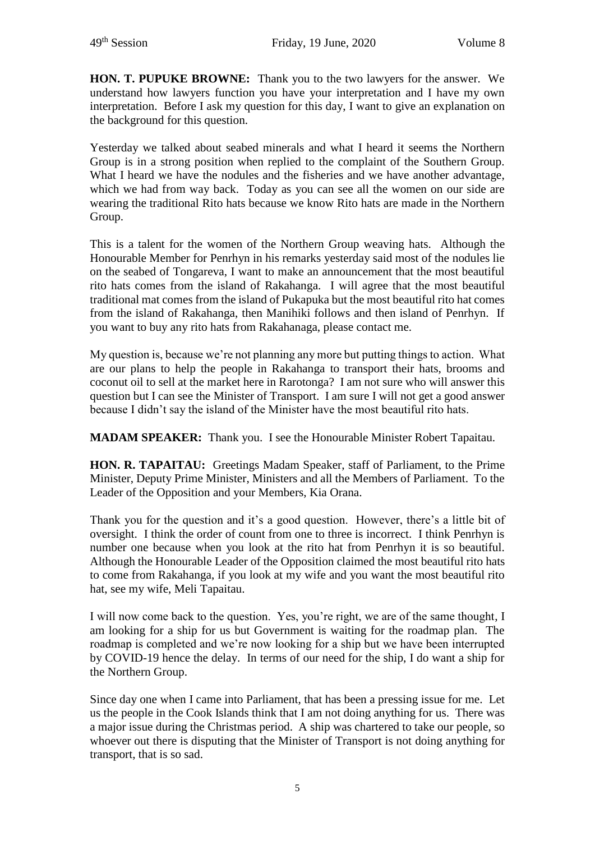**HON. T. PUPUKE BROWNE:** Thank you to the two lawyers for the answer. We understand how lawyers function you have your interpretation and I have my own interpretation. Before I ask my question for this day, I want to give an explanation on the background for this question.

Yesterday we talked about seabed minerals and what I heard it seems the Northern Group is in a strong position when replied to the complaint of the Southern Group. What I heard we have the nodules and the fisheries and we have another advantage, which we had from way back. Today as you can see all the women on our side are wearing the traditional Rito hats because we know Rito hats are made in the Northern Group.

This is a talent for the women of the Northern Group weaving hats. Although the Honourable Member for Penrhyn in his remarks yesterday said most of the nodules lie on the seabed of Tongareva, I want to make an announcement that the most beautiful rito hats comes from the island of Rakahanga. I will agree that the most beautiful traditional mat comes from the island of Pukapuka but the most beautiful rito hat comes from the island of Rakahanga, then Manihiki follows and then island of Penrhyn. If you want to buy any rito hats from Rakahanaga, please contact me.

My question is, because we're not planning any more but putting things to action. What are our plans to help the people in Rakahanga to transport their hats, brooms and coconut oil to sell at the market here in Rarotonga? I am not sure who will answer this question but I can see the Minister of Transport. I am sure I will not get a good answer because I didn't say the island of the Minister have the most beautiful rito hats.

**MADAM SPEAKER:** Thank you. I see the Honourable Minister Robert Tapaitau.

**HON. R. TAPAITAU:** Greetings Madam Speaker, staff of Parliament, to the Prime Minister, Deputy Prime Minister, Ministers and all the Members of Parliament. To the Leader of the Opposition and your Members, Kia Orana.

Thank you for the question and it's a good question. However, there's a little bit of oversight. I think the order of count from one to three is incorrect. I think Penrhyn is number one because when you look at the rito hat from Penrhyn it is so beautiful. Although the Honourable Leader of the Opposition claimed the most beautiful rito hats to come from Rakahanga, if you look at my wife and you want the most beautiful rito hat, see my wife, Meli Tapaitau.

I will now come back to the question. Yes, you're right, we are of the same thought, I am looking for a ship for us but Government is waiting for the roadmap plan. The roadmap is completed and we're now looking for a ship but we have been interrupted by COVID-19 hence the delay. In terms of our need for the ship, I do want a ship for the Northern Group.

Since day one when I came into Parliament, that has been a pressing issue for me. Let us the people in the Cook Islands think that I am not doing anything for us. There was a major issue during the Christmas period. A ship was chartered to take our people, so whoever out there is disputing that the Minister of Transport is not doing anything for transport, that is so sad.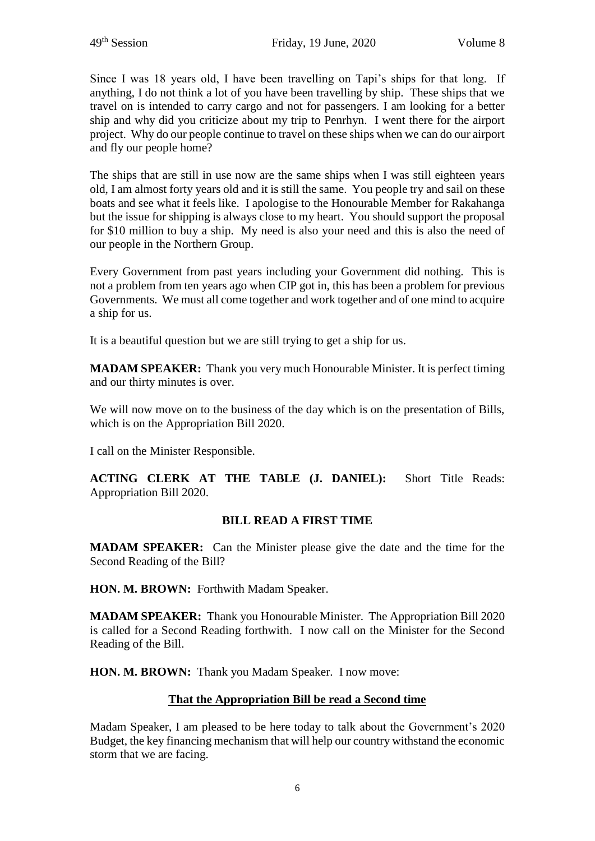Since I was 18 years old, I have been travelling on Tapi's ships for that long. If anything, I do not think a lot of you have been travelling by ship. These ships that we travel on is intended to carry cargo and not for passengers. I am looking for a better ship and why did you criticize about my trip to Penrhyn. I went there for the airport project. Why do our people continue to travel on these ships when we can do our airport and fly our people home?

The ships that are still in use now are the same ships when I was still eighteen years old, I am almost forty years old and it is still the same. You people try and sail on these boats and see what it feels like. I apologise to the Honourable Member for Rakahanga but the issue for shipping is always close to my heart. You should support the proposal for \$10 million to buy a ship. My need is also your need and this is also the need of our people in the Northern Group.

Every Government from past years including your Government did nothing. This is not a problem from ten years ago when CIP got in, this has been a problem for previous Governments. We must all come together and work together and of one mind to acquire a ship for us.

It is a beautiful question but we are still trying to get a ship for us.

**MADAM SPEAKER:** Thank you very much Honourable Minister. It is perfect timing and our thirty minutes is over.

We will now move on to the business of the day which is on the presentation of Bills, which is on the Appropriation Bill 2020.

I call on the Minister Responsible.

**ACTING CLERK AT THE TABLE (J. DANIEL):** Short Title Reads: Appropriation Bill 2020.

#### **BILL READ A FIRST TIME**

**MADAM SPEAKER:** Can the Minister please give the date and the time for the Second Reading of the Bill?

**HON. M. BROWN:** Forthwith Madam Speaker.

**MADAM SPEAKER:** Thank you Honourable Minister. The Appropriation Bill 2020 is called for a Second Reading forthwith. I now call on the Minister for the Second Reading of the Bill.

**HON. M. BROWN:** Thank you Madam Speaker. I now move:

#### **That the Appropriation Bill be read a Second time**

Madam Speaker, I am pleased to be here today to talk about the Government's 2020 Budget, the key financing mechanism that will help our country withstand the economic storm that we are facing.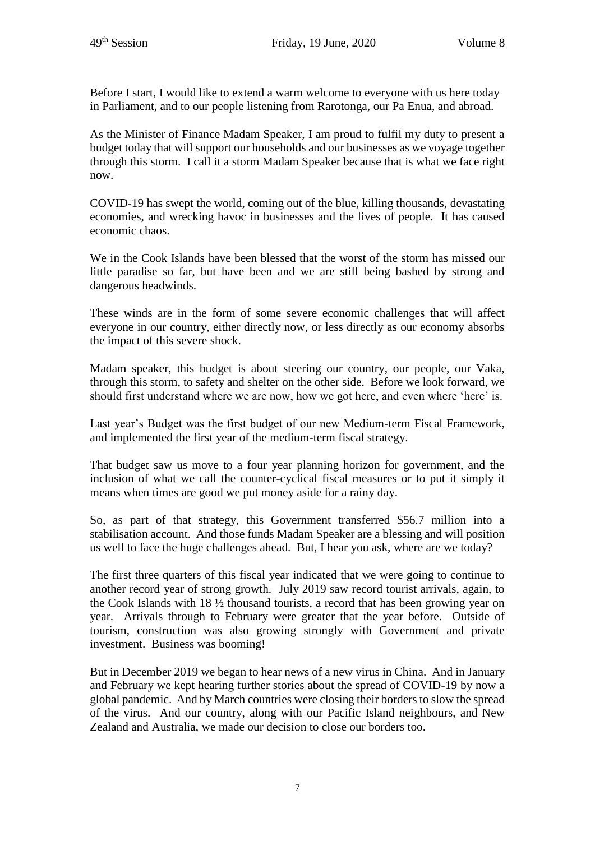Before I start, I would like to extend a warm welcome to everyone with us here today in Parliament, and to our people listening from Rarotonga, our Pa Enua, and abroad.

As the Minister of Finance Madam Speaker, I am proud to fulfil my duty to present a budget today that will support our households and our businesses as we voyage together through this storm. I call it a storm Madam Speaker because that is what we face right now.

COVID-19 has swept the world, coming out of the blue, killing thousands, devastating economies, and wrecking havoc in businesses and the lives of people. It has caused economic chaos.

We in the Cook Islands have been blessed that the worst of the storm has missed our little paradise so far, but have been and we are still being bashed by strong and dangerous headwinds.

These winds are in the form of some severe economic challenges that will affect everyone in our country, either directly now, or less directly as our economy absorbs the impact of this severe shock.

Madam speaker, this budget is about steering our country, our people, our Vaka, through this storm, to safety and shelter on the other side. Before we look forward, we should first understand where we are now, how we got here, and even where 'here' is.

Last year's Budget was the first budget of our new Medium-term Fiscal Framework, and implemented the first year of the medium-term fiscal strategy.

That budget saw us move to a four year planning horizon for government, and the inclusion of what we call the counter-cyclical fiscal measures or to put it simply it means when times are good we put money aside for a rainy day.

So, as part of that strategy, this Government transferred \$56.7 million into a stabilisation account. And those funds Madam Speaker are a blessing and will position us well to face the huge challenges ahead. But, I hear you ask, where are we today?

The first three quarters of this fiscal year indicated that we were going to continue to another record year of strong growth. July 2019 saw record tourist arrivals, again, to the Cook Islands with 18 ½ thousand tourists, a record that has been growing year on year. Arrivals through to February were greater that the year before. Outside of tourism, construction was also growing strongly with Government and private investment. Business was booming!

But in December 2019 we began to hear news of a new virus in China. And in January and February we kept hearing further stories about the spread of COVID-19 by now a global pandemic. And by March countries were closing their borders to slow the spread of the virus. And our country, along with our Pacific Island neighbours, and New Zealand and Australia, we made our decision to close our borders too.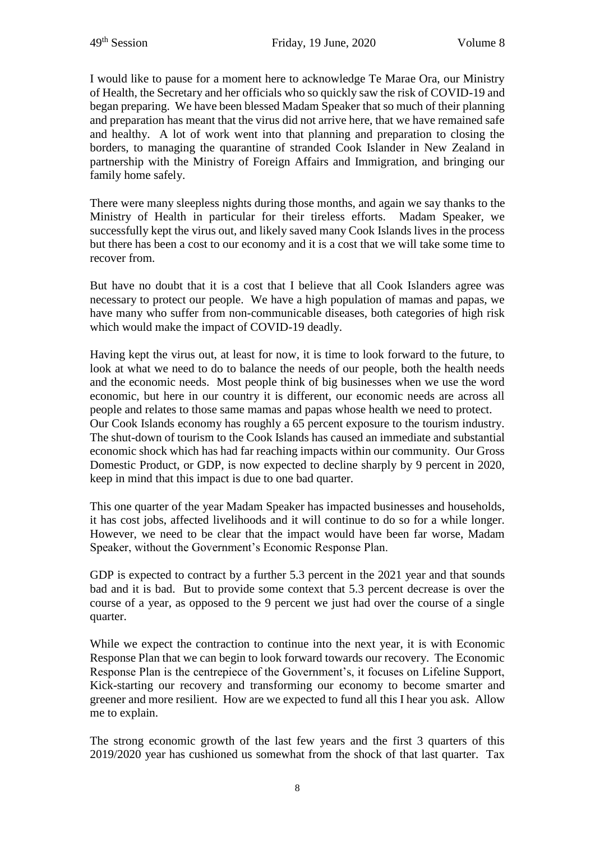I would like to pause for a moment here to acknowledge Te Marae Ora, our Ministry of Health, the Secretary and her officials who so quickly saw the risk of COVID-19 and began preparing. We have been blessed Madam Speaker that so much of their planning and preparation has meant that the virus did not arrive here, that we have remained safe and healthy. A lot of work went into that planning and preparation to closing the borders, to managing the quarantine of stranded Cook Islander in New Zealand in partnership with the Ministry of Foreign Affairs and Immigration, and bringing our family home safely.

There were many sleepless nights during those months, and again we say thanks to the Ministry of Health in particular for their tireless efforts. Madam Speaker, we successfully kept the virus out, and likely saved many Cook Islands lives in the process but there has been a cost to our economy and it is a cost that we will take some time to recover from.

But have no doubt that it is a cost that I believe that all Cook Islanders agree was necessary to protect our people. We have a high population of mamas and papas, we have many who suffer from non-communicable diseases, both categories of high risk which would make the impact of COVID-19 deadly.

Having kept the virus out, at least for now, it is time to look forward to the future, to look at what we need to do to balance the needs of our people, both the health needs and the economic needs. Most people think of big businesses when we use the word economic, but here in our country it is different, our economic needs are across all people and relates to those same mamas and papas whose health we need to protect. Our Cook Islands economy has roughly a 65 percent exposure to the tourism industry. The shut-down of tourism to the Cook Islands has caused an immediate and substantial economic shock which has had far reaching impacts within our community. Our Gross Domestic Product, or GDP, is now expected to decline sharply by 9 percent in 2020, keep in mind that this impact is due to one bad quarter.

This one quarter of the year Madam Speaker has impacted businesses and households, it has cost jobs, affected livelihoods and it will continue to do so for a while longer. However, we need to be clear that the impact would have been far worse, Madam Speaker, without the Government's Economic Response Plan.

GDP is expected to contract by a further 5.3 percent in the 2021 year and that sounds bad and it is bad. But to provide some context that 5.3 percent decrease is over the course of a year, as opposed to the 9 percent we just had over the course of a single quarter.

While we expect the contraction to continue into the next year, it is with Economic Response Plan that we can begin to look forward towards our recovery. The Economic Response Plan is the centrepiece of the Government's, it focuses on Lifeline Support, Kick-starting our recovery and transforming our economy to become smarter and greener and more resilient. How are we expected to fund all this I hear you ask. Allow me to explain.

The strong economic growth of the last few years and the first 3 quarters of this 2019/2020 year has cushioned us somewhat from the shock of that last quarter. Tax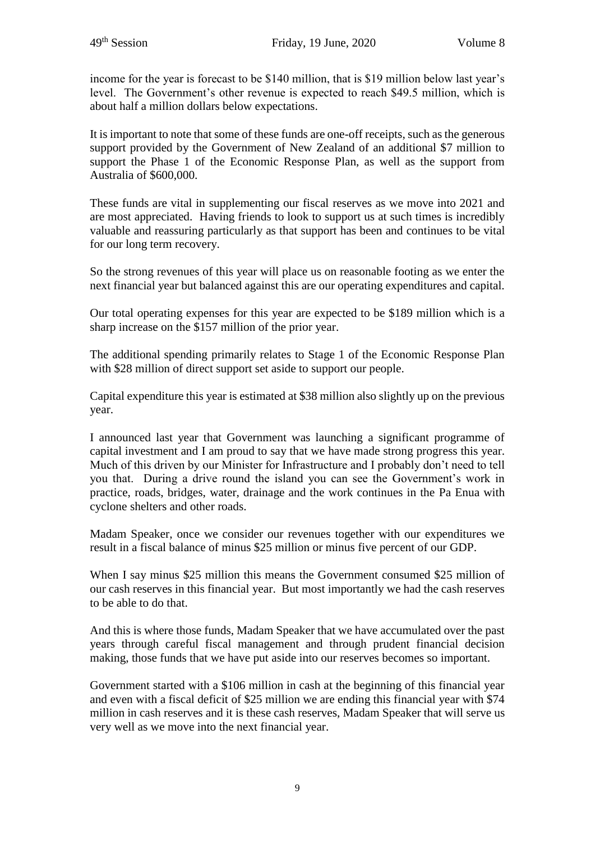income for the year is forecast to be \$140 million, that is \$19 million below last year's level. The Government's other revenue is expected to reach \$49.5 million, which is about half a million dollars below expectations.

It is important to note that some of these funds are one-off receipts, such as the generous support provided by the Government of New Zealand of an additional \$7 million to support the Phase 1 of the Economic Response Plan, as well as the support from Australia of \$600,000.

These funds are vital in supplementing our fiscal reserves as we move into 2021 and are most appreciated. Having friends to look to support us at such times is incredibly valuable and reassuring particularly as that support has been and continues to be vital for our long term recovery.

So the strong revenues of this year will place us on reasonable footing as we enter the next financial year but balanced against this are our operating expenditures and capital.

Our total operating expenses for this year are expected to be \$189 million which is a sharp increase on the \$157 million of the prior year.

The additional spending primarily relates to Stage 1 of the Economic Response Plan with \$28 million of direct support set aside to support our people.

Capital expenditure this year is estimated at \$38 million also slightly up on the previous year.

I announced last year that Government was launching a significant programme of capital investment and I am proud to say that we have made strong progress this year. Much of this driven by our Minister for Infrastructure and I probably don't need to tell you that. During a drive round the island you can see the Government's work in practice, roads, bridges, water, drainage and the work continues in the Pa Enua with cyclone shelters and other roads.

Madam Speaker, once we consider our revenues together with our expenditures we result in a fiscal balance of minus \$25 million or minus five percent of our GDP.

When I say minus \$25 million this means the Government consumed \$25 million of our cash reserves in this financial year. But most importantly we had the cash reserves to be able to do that.

And this is where those funds, Madam Speaker that we have accumulated over the past years through careful fiscal management and through prudent financial decision making, those funds that we have put aside into our reserves becomes so important.

Government started with a \$106 million in cash at the beginning of this financial year and even with a fiscal deficit of \$25 million we are ending this financial year with \$74 million in cash reserves and it is these cash reserves, Madam Speaker that will serve us very well as we move into the next financial year.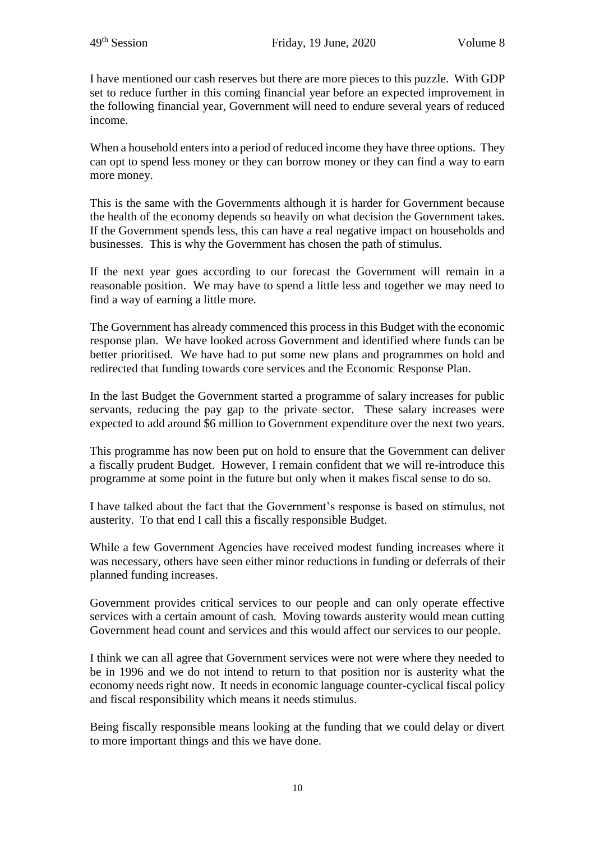I have mentioned our cash reserves but there are more pieces to this puzzle. With GDP set to reduce further in this coming financial year before an expected improvement in the following financial year, Government will need to endure several years of reduced income.

When a household enters into a period of reduced income they have three options. They can opt to spend less money or they can borrow money or they can find a way to earn more money.

This is the same with the Governments although it is harder for Government because the health of the economy depends so heavily on what decision the Government takes. If the Government spends less, this can have a real negative impact on households and businesses. This is why the Government has chosen the path of stimulus.

If the next year goes according to our forecast the Government will remain in a reasonable position. We may have to spend a little less and together we may need to find a way of earning a little more.

The Government has already commenced this process in this Budget with the economic response plan. We have looked across Government and identified where funds can be better prioritised. We have had to put some new plans and programmes on hold and redirected that funding towards core services and the Economic Response Plan.

In the last Budget the Government started a programme of salary increases for public servants, reducing the pay gap to the private sector. These salary increases were expected to add around \$6 million to Government expenditure over the next two years.

This programme has now been put on hold to ensure that the Government can deliver a fiscally prudent Budget. However, I remain confident that we will re-introduce this programme at some point in the future but only when it makes fiscal sense to do so.

I have talked about the fact that the Government's response is based on stimulus, not austerity. To that end I call this a fiscally responsible Budget.

While a few Government Agencies have received modest funding increases where it was necessary, others have seen either minor reductions in funding or deferrals of their planned funding increases.

Government provides critical services to our people and can only operate effective services with a certain amount of cash. Moving towards austerity would mean cutting Government head count and services and this would affect our services to our people.

I think we can all agree that Government services were not were where they needed to be in 1996 and we do not intend to return to that position nor is austerity what the economy needs right now. It needs in economic language counter-cyclical fiscal policy and fiscal responsibility which means it needs stimulus.

Being fiscally responsible means looking at the funding that we could delay or divert to more important things and this we have done.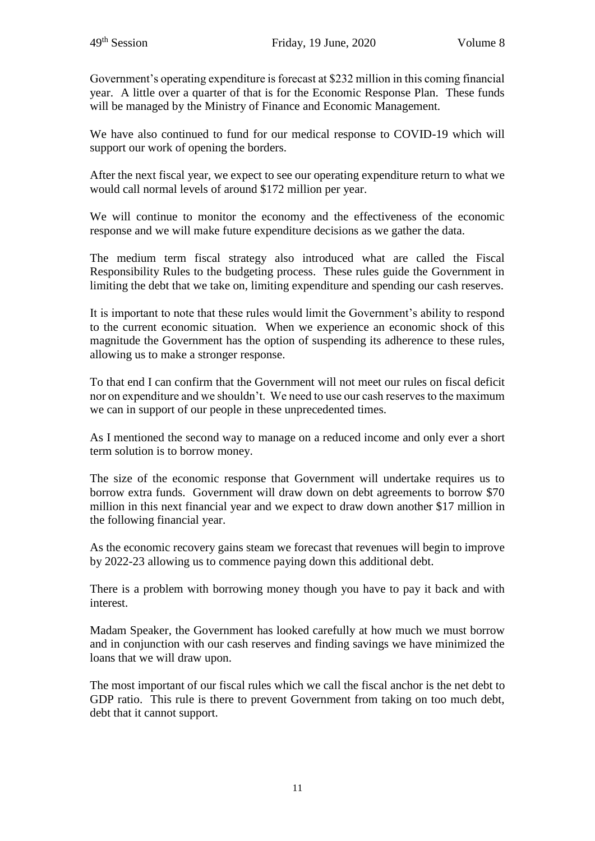Government's operating expenditure is forecast at \$232 million in this coming financial year. A little over a quarter of that is for the Economic Response Plan. These funds will be managed by the Ministry of Finance and Economic Management.

We have also continued to fund for our medical response to COVID-19 which will support our work of opening the borders.

After the next fiscal year, we expect to see our operating expenditure return to what we would call normal levels of around \$172 million per year.

We will continue to monitor the economy and the effectiveness of the economic response and we will make future expenditure decisions as we gather the data.

The medium term fiscal strategy also introduced what are called the Fiscal Responsibility Rules to the budgeting process. These rules guide the Government in limiting the debt that we take on, limiting expenditure and spending our cash reserves.

It is important to note that these rules would limit the Government's ability to respond to the current economic situation. When we experience an economic shock of this magnitude the Government has the option of suspending its adherence to these rules, allowing us to make a stronger response.

To that end I can confirm that the Government will not meet our rules on fiscal deficit nor on expenditure and we shouldn't. We need to use our cash reserves to the maximum we can in support of our people in these unprecedented times.

As I mentioned the second way to manage on a reduced income and only ever a short term solution is to borrow money.

The size of the economic response that Government will undertake requires us to borrow extra funds. Government will draw down on debt agreements to borrow \$70 million in this next financial year and we expect to draw down another \$17 million in the following financial year.

As the economic recovery gains steam we forecast that revenues will begin to improve by 2022-23 allowing us to commence paying down this additional debt.

There is a problem with borrowing money though you have to pay it back and with interest.

Madam Speaker, the Government has looked carefully at how much we must borrow and in conjunction with our cash reserves and finding savings we have minimized the loans that we will draw upon.

The most important of our fiscal rules which we call the fiscal anchor is the net debt to GDP ratio. This rule is there to prevent Government from taking on too much debt, debt that it cannot support.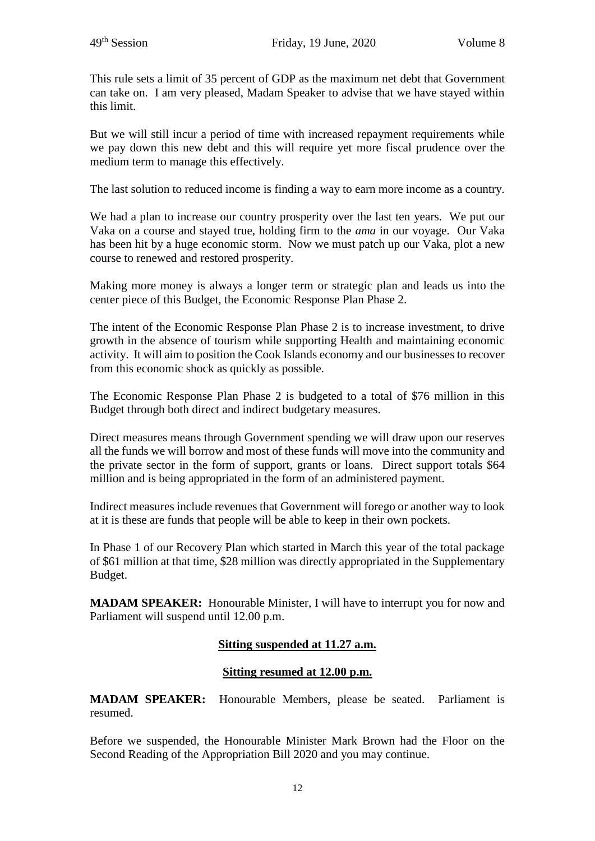This rule sets a limit of 35 percent of GDP as the maximum net debt that Government can take on. I am very pleased, Madam Speaker to advise that we have stayed within this limit.

But we will still incur a period of time with increased repayment requirements while we pay down this new debt and this will require yet more fiscal prudence over the medium term to manage this effectively.

The last solution to reduced income is finding a way to earn more income as a country.

We had a plan to increase our country prosperity over the last ten years. We put our Vaka on a course and stayed true, holding firm to the *ama* in our voyage. Our Vaka has been hit by a huge economic storm. Now we must patch up our Vaka, plot a new course to renewed and restored prosperity.

Making more money is always a longer term or strategic plan and leads us into the center piece of this Budget, the Economic Response Plan Phase 2.

The intent of the Economic Response Plan Phase 2 is to increase investment, to drive growth in the absence of tourism while supporting Health and maintaining economic activity. It will aim to position the Cook Islands economy and our businesses to recover from this economic shock as quickly as possible.

The Economic Response Plan Phase 2 is budgeted to a total of \$76 million in this Budget through both direct and indirect budgetary measures.

Direct measures means through Government spending we will draw upon our reserves all the funds we will borrow and most of these funds will move into the community and the private sector in the form of support, grants or loans. Direct support totals \$64 million and is being appropriated in the form of an administered payment.

Indirect measures include revenues that Government will forego or another way to look at it is these are funds that people will be able to keep in their own pockets.

In Phase 1 of our Recovery Plan which started in March this year of the total package of \$61 million at that time, \$28 million was directly appropriated in the Supplementary Budget.

**MADAM SPEAKER:** Honourable Minister, I will have to interrupt you for now and Parliament will suspend until 12.00 p.m.

# **Sitting suspended at 11.27 a.m.**

#### **Sitting resumed at 12.00 p.m.**

**MADAM SPEAKER:** Honourable Members, please be seated. Parliament is resumed.

Before we suspended, the Honourable Minister Mark Brown had the Floor on the Second Reading of the Appropriation Bill 2020 and you may continue.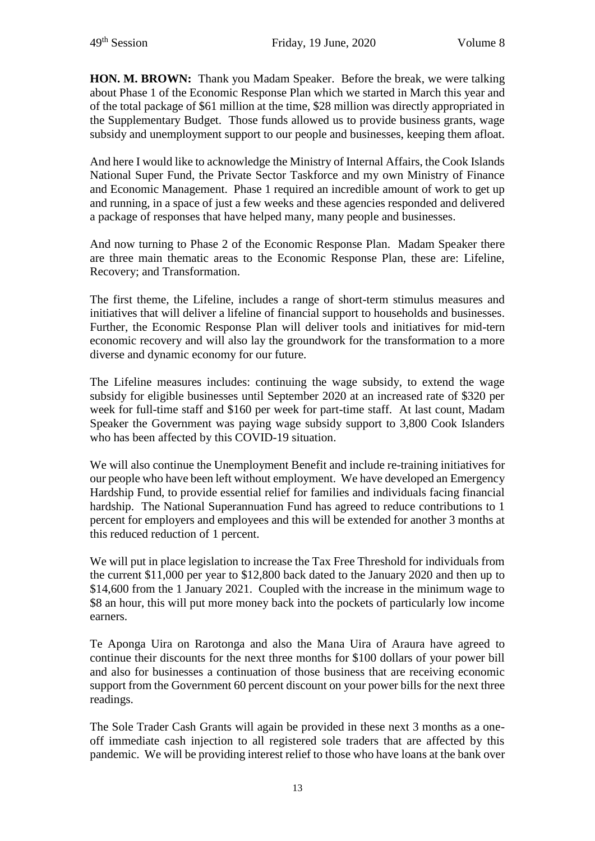**HON. M. BROWN:** Thank you Madam Speaker. Before the break, we were talking about Phase 1 of the Economic Response Plan which we started in March this year and of the total package of \$61 million at the time, \$28 million was directly appropriated in the Supplementary Budget. Those funds allowed us to provide business grants, wage subsidy and unemployment support to our people and businesses, keeping them afloat.

And here I would like to acknowledge the Ministry of Internal Affairs, the Cook Islands National Super Fund, the Private Sector Taskforce and my own Ministry of Finance and Economic Management. Phase 1 required an incredible amount of work to get up and running, in a space of just a few weeks and these agencies responded and delivered a package of responses that have helped many, many people and businesses.

And now turning to Phase 2 of the Economic Response Plan. Madam Speaker there are three main thematic areas to the Economic Response Plan, these are: Lifeline, Recovery; and Transformation.

The first theme, the Lifeline, includes a range of short-term stimulus measures and initiatives that will deliver a lifeline of financial support to households and businesses. Further, the Economic Response Plan will deliver tools and initiatives for mid-tern economic recovery and will also lay the groundwork for the transformation to a more diverse and dynamic economy for our future.

The Lifeline measures includes: continuing the wage subsidy, to extend the wage subsidy for eligible businesses until September 2020 at an increased rate of \$320 per week for full-time staff and \$160 per week for part-time staff. At last count, Madam Speaker the Government was paying wage subsidy support to 3,800 Cook Islanders who has been affected by this COVID-19 situation.

We will also continue the Unemployment Benefit and include re-training initiatives for our people who have been left without employment. We have developed an Emergency Hardship Fund, to provide essential relief for families and individuals facing financial hardship. The National Superannuation Fund has agreed to reduce contributions to 1 percent for employers and employees and this will be extended for another 3 months at this reduced reduction of 1 percent.

We will put in place legislation to increase the Tax Free Threshold for individuals from the current \$11,000 per year to \$12,800 back dated to the January 2020 and then up to \$14,600 from the 1 January 2021. Coupled with the increase in the minimum wage to \$8 an hour, this will put more money back into the pockets of particularly low income earners.

Te Aponga Uira on Rarotonga and also the Mana Uira of Araura have agreed to continue their discounts for the next three months for \$100 dollars of your power bill and also for businesses a continuation of those business that are receiving economic support from the Government 60 percent discount on your power bills for the next three readings.

The Sole Trader Cash Grants will again be provided in these next 3 months as a oneoff immediate cash injection to all registered sole traders that are affected by this pandemic. We will be providing interest relief to those who have loans at the bank over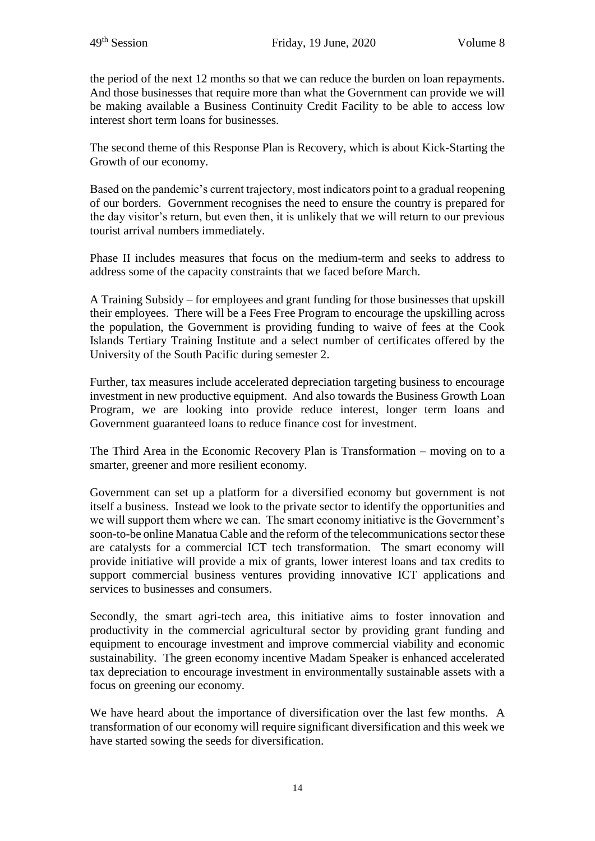the period of the next 12 months so that we can reduce the burden on loan repayments. And those businesses that require more than what the Government can provide we will be making available a Business Continuity Credit Facility to be able to access low interest short term loans for businesses.

The second theme of this Response Plan is Recovery, which is about Kick-Starting the Growth of our economy.

Based on the pandemic's current trajectory, most indicators point to a gradual reopening of our borders. Government recognises the need to ensure the country is prepared for the day visitor's return, but even then, it is unlikely that we will return to our previous tourist arrival numbers immediately.

Phase II includes measures that focus on the medium-term and seeks to address to address some of the capacity constraints that we faced before March.

A Training Subsidy – for employees and grant funding for those businesses that upskill their employees. There will be a Fees Free Program to encourage the upskilling across the population, the Government is providing funding to waive of fees at the Cook Islands Tertiary Training Institute and a select number of certificates offered by the University of the South Pacific during semester 2.

Further, tax measures include accelerated depreciation targeting business to encourage investment in new productive equipment. And also towards the Business Growth Loan Program, we are looking into provide reduce interest, longer term loans and Government guaranteed loans to reduce finance cost for investment.

The Third Area in the Economic Recovery Plan is Transformation – moving on to a smarter, greener and more resilient economy.

Government can set up a platform for a diversified economy but government is not itself a business. Instead we look to the private sector to identify the opportunities and we will support them where we can. The smart economy initiative is the Government's soon-to-be online Manatua Cable and the reform of the telecommunications sector these are catalysts for a commercial ICT tech transformation. The smart economy will provide initiative will provide a mix of grants, lower interest loans and tax credits to support commercial business ventures providing innovative ICT applications and services to businesses and consumers.

Secondly, the smart agri-tech area, this initiative aims to foster innovation and productivity in the commercial agricultural sector by providing grant funding and equipment to encourage investment and improve commercial viability and economic sustainability. The green economy incentive Madam Speaker is enhanced accelerated tax depreciation to encourage investment in environmentally sustainable assets with a focus on greening our economy.

We have heard about the importance of diversification over the last few months. A transformation of our economy will require significant diversification and this week we have started sowing the seeds for diversification.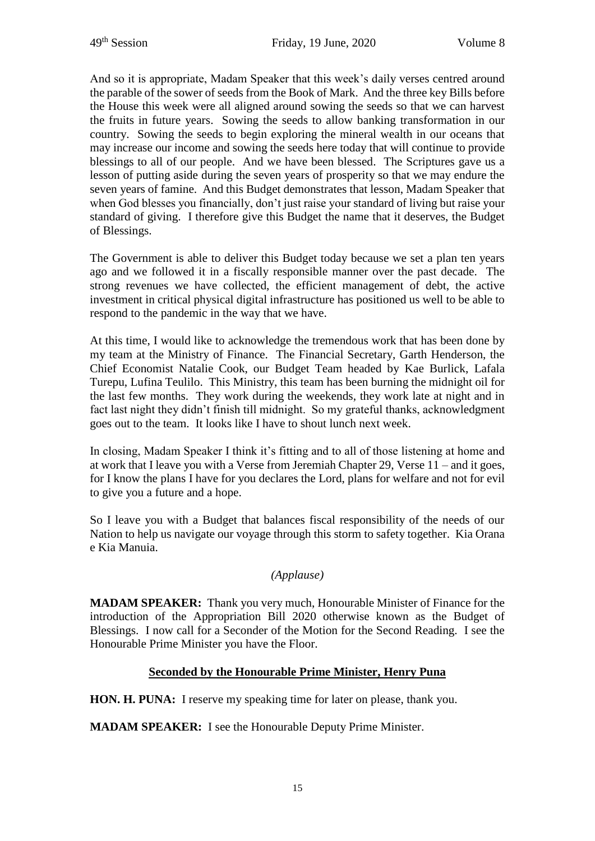And so it is appropriate, Madam Speaker that this week's daily verses centred around the parable of the sower of seeds from the Book of Mark. And the three key Bills before the House this week were all aligned around sowing the seeds so that we can harvest the fruits in future years. Sowing the seeds to allow banking transformation in our country. Sowing the seeds to begin exploring the mineral wealth in our oceans that may increase our income and sowing the seeds here today that will continue to provide blessings to all of our people. And we have been blessed. The Scriptures gave us a lesson of putting aside during the seven years of prosperity so that we may endure the seven years of famine. And this Budget demonstrates that lesson, Madam Speaker that when God blesses you financially, don't just raise your standard of living but raise your standard of giving. I therefore give this Budget the name that it deserves, the Budget of Blessings.

The Government is able to deliver this Budget today because we set a plan ten years ago and we followed it in a fiscally responsible manner over the past decade. The strong revenues we have collected, the efficient management of debt, the active investment in critical physical digital infrastructure has positioned us well to be able to respond to the pandemic in the way that we have.

At this time, I would like to acknowledge the tremendous work that has been done by my team at the Ministry of Finance. The Financial Secretary, Garth Henderson, the Chief Economist Natalie Cook, our Budget Team headed by Kae Burlick, Lafala Turepu, Lufina Teulilo. This Ministry, this team has been burning the midnight oil for the last few months. They work during the weekends, they work late at night and in fact last night they didn't finish till midnight. So my grateful thanks, acknowledgment goes out to the team. It looks like I have to shout lunch next week.

In closing, Madam Speaker I think it's fitting and to all of those listening at home and at work that I leave you with a Verse from Jeremiah Chapter 29, Verse 11 – and it goes, for I know the plans I have for you declares the Lord, plans for welfare and not for evil to give you a future and a hope.

So I leave you with a Budget that balances fiscal responsibility of the needs of our Nation to help us navigate our voyage through this storm to safety together. Kia Orana e Kia Manuia.

#### *(Applause)*

**MADAM SPEAKER:** Thank you very much, Honourable Minister of Finance for the introduction of the Appropriation Bill 2020 otherwise known as the Budget of Blessings. I now call for a Seconder of the Motion for the Second Reading. I see the Honourable Prime Minister you have the Floor.

#### **Seconded by the Honourable Prime Minister, Henry Puna**

**HON. H. PUNA:** I reserve my speaking time for later on please, thank you.

**MADAM SPEAKER:** I see the Honourable Deputy Prime Minister.